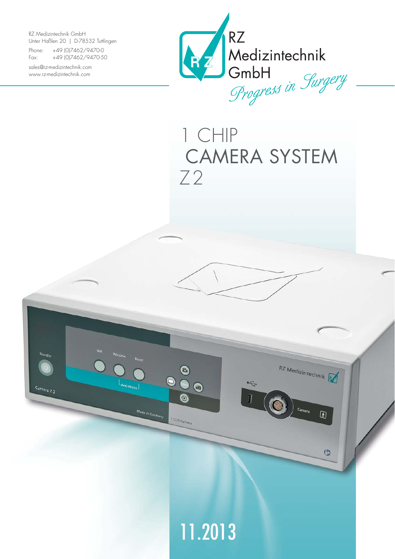RZ Medizintechnik GmbH Unter Haßlen 20 | D-78532 Tuttlingen

Phone: +49 (0)7462/9470-0 Fax: +49 (0)7462/9470-50

sales@rz-medizintechnik.com www.rz-medizintechnik.com

Camera Z<sub>2</sub>



1 CHIP CAMERA SYSTEM Z2

 $\tilde{\mathcal{F}}$ 

RZ Medizintechnik

Camera

 $\circledR$ 

 $\circledcirc$ 



 $\bigcirc$ 

 $\bm{\mathsf{\odot}}$ 

1 CCD-Camera

Made in Germany

 $\bullet$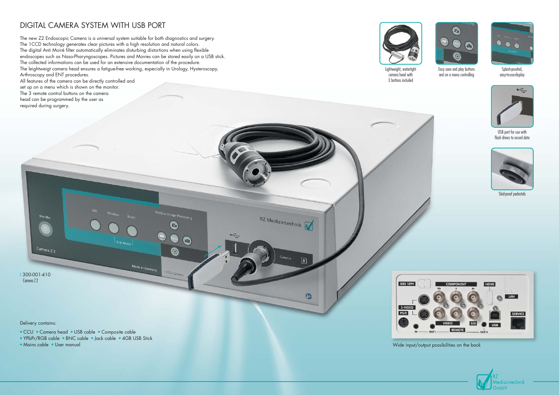## DIGITAL CAMERA SYSTEM WITH USB PORT



Wide input/output possibilities on the back



The new Z2 Endoscopic Camera is a universal system suitable for both diagnostics and surgery. The 1CCD technology generates clear pictures with a high resolution and natural colors. The digital Anti Moiré filter automatically eliminates disturbing distortions when using flexible endoscopes such as Naso-Pharyngoscopes. Pictures and Movies can be stored easily on a USB stick. The collected informations can be used for an extensive documentation of the procedure. The leightweigt camera head ensures a fatigue-free working, especially in Urology, Hysteroscopy, Arthroscopy and ENT procedures.

Medical Image Processing

 $E_1$ 

 $\bullet$ 

1 CCD-Camera

 $\blacksquare$ 

Made in Germany

RZ Medizintechnik

区

G

 $\widetilde{\mathcal{F}}$ 

I 300-001-410 Camera 72

Standby

Camera Z 2

- CCU Camera head USB cable Composite cable
- YPbPr/RGB cable BNC cable Jack cable 4GB USB Stick
- Mains cable User manual



**IEEE 1394** 





USB port for use with flash drives to record data

All features of the camera can be directly controlled and set up on a menu which is shown on the monitor. The 3 remote control buttons on the camera head can be programmed by the user as required during surgery.



Delivery contains:



Skid-proof pedestals

Easy save and play buttons and on a menu controlling



Lightweight, watertight camera head with 3 buttons included

Splash-proofed, easy-to-use-display